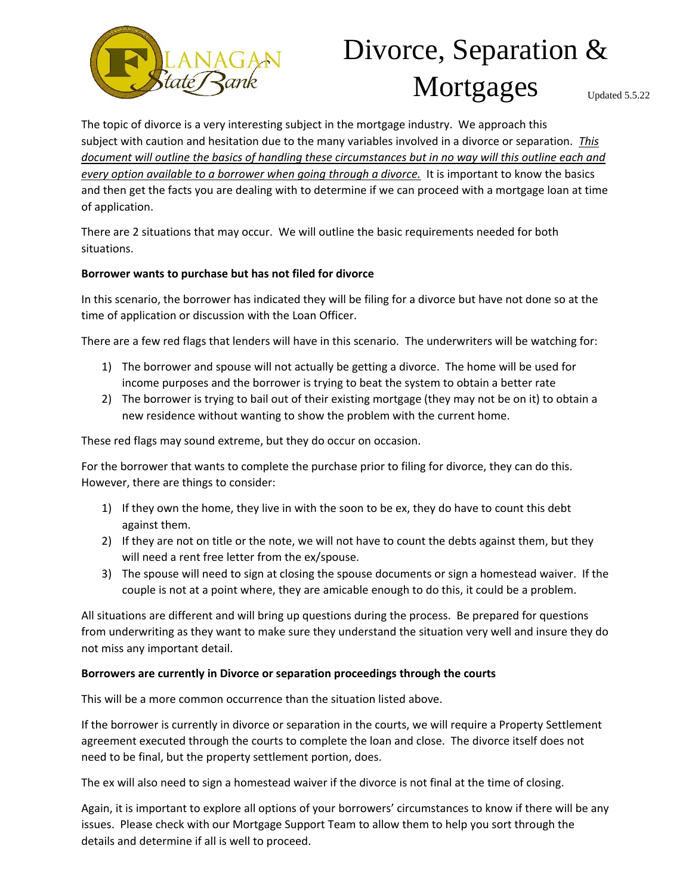

## Divorce, Separation & Mortgages Updated 5.5.22

The topic of divorce is a very interesting subject in the mortgage industry. We approach this subject with caution and hesitation due to the many variables involved in a divorce or separation. *This document will outline the basics of handling these circumstances but in no way will this outline each and every option available to a borrower when going through a divorce.* It is important to know the basics and then get the facts you are dealing with to determine if we can proceed with a mortgage loan at time of application.

There are 2 situations that may occur. We will outline the basic requirements needed for both situations.

## **Borrower wants to purchase but has not filed for divorce**

In this scenario, the borrower has indicated they will be filing for a divorce but have not done so at the time of application or discussion with the Loan Officer.

There are a few red flags that lenders will have in this scenario. The underwriters will be watching for:

- 1) The borrower and spouse will not actually be getting a divorce. The home will be used for income purposes and the borrower is trying to beat the system to obtain a better rate
- 2) The borrower is trying to bail out of their existing mortgage (they may not be on it) to obtain a new residence without wanting to show the problem with the current home.

These red flags may sound extreme, but they do occur on occasion.

For the borrower that wants to complete the purchase prior to filing for divorce, they can do this. However, there are things to consider:

- 1) If they own the home, they live in with the soon to be ex, they do have to count this debt against them.
- 2) If they are not on title or the note, we will not have to count the debts against them, but they will need a rent free letter from the ex/spouse.
- 3) The spouse will need to sign at closing the spouse documents or sign a homestead waiver. If the couple is not at a point where, they are amicable enough to do this, it could be a problem.

All situations are different and will bring up questions during the process. Be prepared for questions from underwriting as they want to make sure they understand the situation very well and insure they do not miss any important detail.

## **Borrowers are currently in Divorce or separation proceedings through the courts**

This will be a more common occurrence than the situation listed above.

If the borrower is currently in divorce or separation in the courts, we will require a Property Settlement agreement executed through the courts to complete the loan and close. The divorce itself does not need to be final, but the property settlement portion, does.

The ex will also need to sign a homestead waiver if the divorce is not final at the time of closing.

Again, it is important to explore all options of your borrowers' circumstances to know if there will be any issues. Please check with our Mortgage Support Team to allow them to help you sort through the details and determine if all is well to proceed.